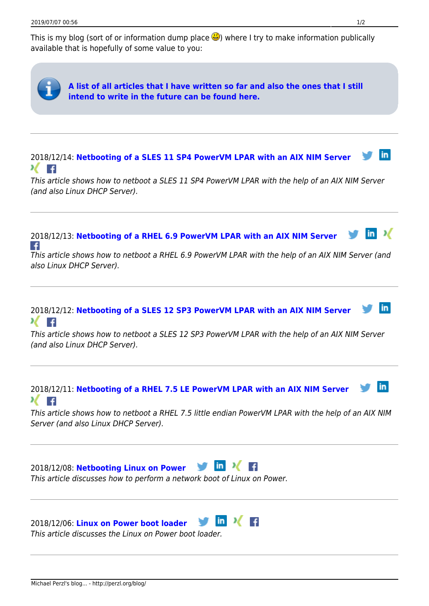This is my blog (sort of or information dump place  $\ddot{\mathbf{G}}$ ) where I try to make information publically available that is hopefully of some value to you: